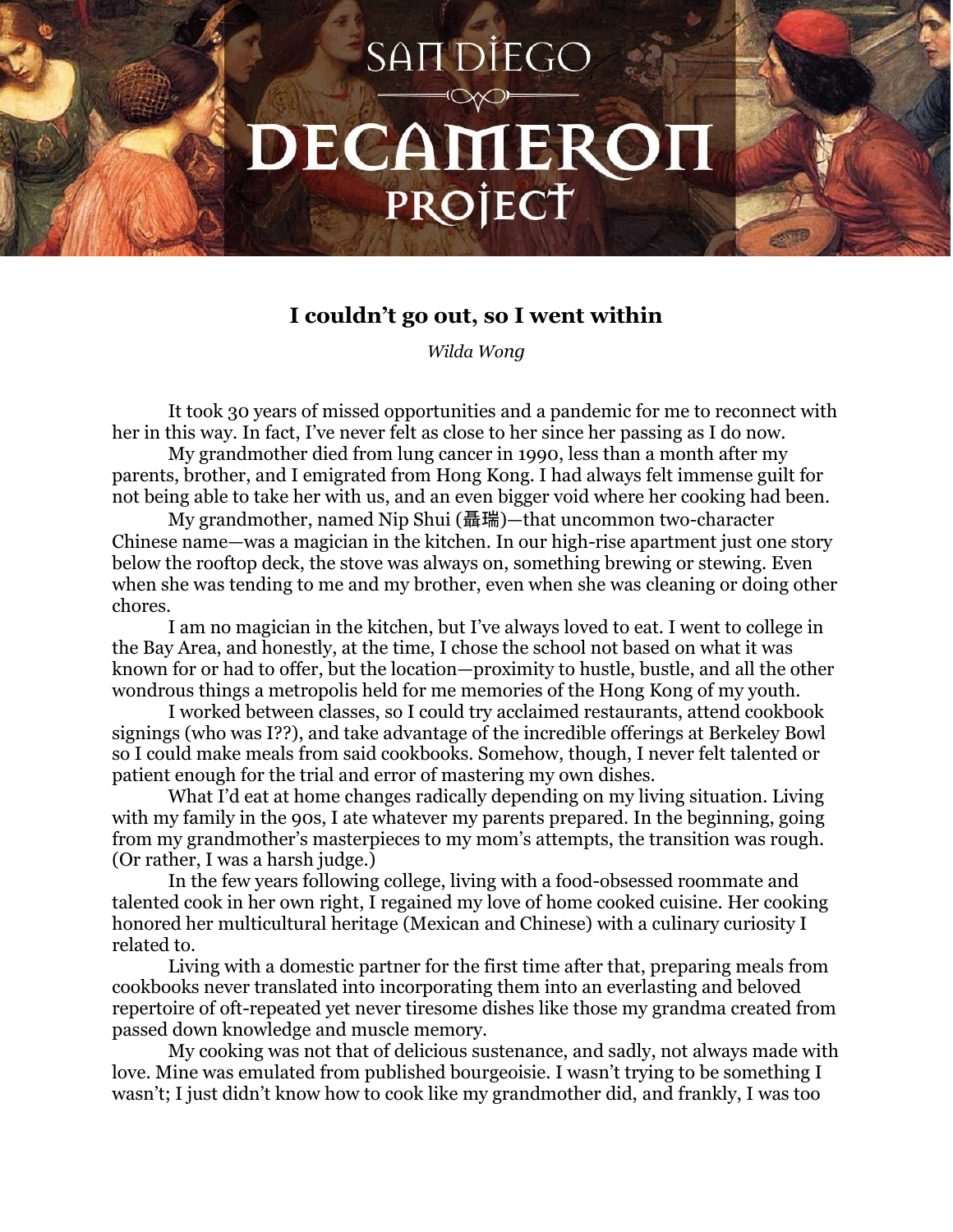## SAIT DIEGO DECAMERON PROJECT

## **I couldn't go out, so I went within**

*Wilda Wong*

It took 30 years of missed opportunities and a pandemic for me to reconnect with her in this way. In fact, I've never felt as close to her since her passing as I do now.

My grandmother died from lung cancer in 1990, less than a month after my parents, brother, and I emigrated from Hong Kong. I had always felt immense guilt for not being able to take her with us, and an even bigger void where her cooking had been.

My grandmother, named Nip Shui (聶瑞)—that uncommon two-character Chinese name—was a magician in the kitchen. In our high-rise apartment just one story below the rooftop deck, the stove was always on, something brewing or stewing. Even when she was tending to me and my brother, even when she was cleaning or doing other chores.

I am no magician in the kitchen, but I've always loved to eat. I went to college in the Bay Area, and honestly, at the time, I chose the school not based on what it was known for or had to offer, but the location—proximity to hustle, bustle, and all the other wondrous things a metropolis held for me memories of the Hong Kong of my youth.

I worked between classes, so I could try acclaimed restaurants, attend cookbook signings (who was I??), and take advantage of the incredible offerings at Berkeley Bowl so I could make meals from said cookbooks. Somehow, though, I never felt talented or patient enough for the trial and error of mastering my own dishes.

What I'd eat at home changes radically depending on my living situation. Living with my family in the 90s, I ate whatever my parents prepared. In the beginning, going from my grandmother's masterpieces to my mom's attempts, the transition was rough. (Or rather, I was a harsh judge.)

In the few years following college, living with a food-obsessed roommate and talented cook in her own right, I regained my love of home cooked cuisine. Her cooking honored her multicultural heritage (Mexican and Chinese) with a culinary curiosity I related to.

Living with a domestic partner for the first time after that, preparing meals from cookbooks never translated into incorporating them into an everlasting and beloved repertoire of oft-repeated yet never tiresome dishes like those my grandma created from passed down knowledge and muscle memory.

My cooking was not that of delicious sustenance, and sadly, not always made with love. Mine was emulated from published bourgeoisie. I wasn't trying to be something I wasn't; I just didn't know how to cook like my grandmother did, and frankly, I was too